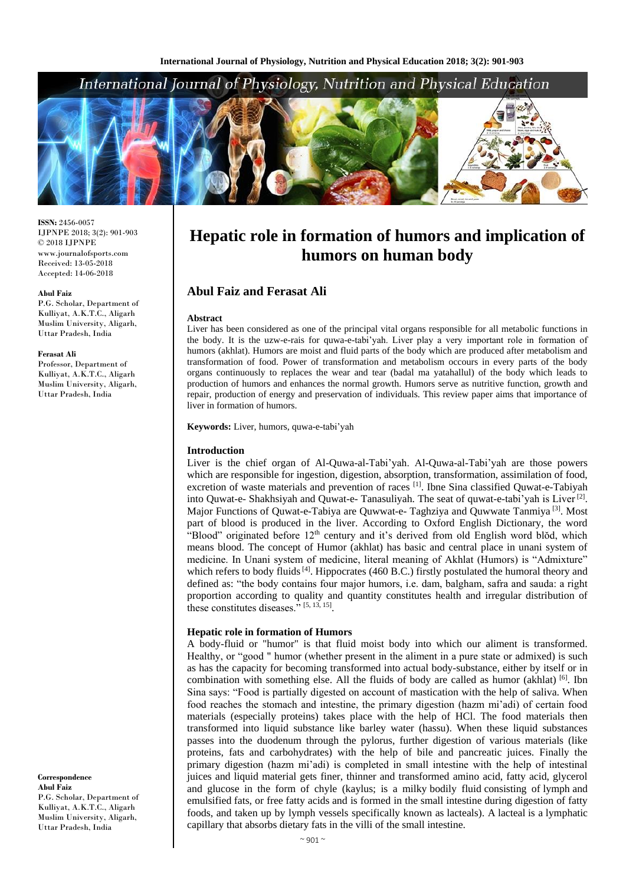# International Journal of Physiology, Nutrition and Physical Education



**ISSN:** 2456-0057 IJPNPE 2018; 3(2): 901-903  $\odot$  2018 IJPNPE www.journalofsports.com Received: 13-05-2018 Accepted: 14-06-2018

#### **Abul Faiz**

P.G. Scholar, Department of Kulliyat, A.K.T.C., Aligarh Muslim University, Aligarh, Uttar Pradesh, India

#### **Ferasat Ali**

Professor, Department of Kulliyat, A.K.T.C., Aligarh Muslim University, Aligarh, Uttar Pradesh, India

**Correspondence Abul Faiz** P.G. Scholar, Department of Kulliyat, A.K.T.C., Aligarh Muslim University, Aligarh, Uttar Pradesh, India

# **Hepatic role in formation of humors and implication of humors on human body**

# **Abul Faiz and Ferasat Ali**

#### **Abstract**

Liver has been considered as one of the principal vital organs responsible for all metabolic functions in the body. It is the uzw-e-rais for quwa-e-tabi'yah. Liver play a very important role in formation of humors (akhlat). Humors are moist and fluid parts of the body which are produced after metabolism and transformation of food. Power of transformation and metabolism occours in every parts of the body organs continuously to replaces the wear and tear (badal ma yatahallul) of the body which leads to production of humors and enhances the normal growth. Humors serve as nutritive function, growth and repair, production of energy and preservation of individuals. This review paper aims that importance of liver in formation of humors.

**Keywords:** Liver, humors, quwa-e-tabi'yah

#### **Introduction**

Liver is the chief organ of Al-Quwa-al-Tabi'yah. Al-Quwa-al-Tabi'yah are those powers which are responsible for ingestion, digestion, absorption, transformation, assimilation of food, excretion of waste materials and prevention of races [1]. Ibne Sina classified Quwat-e-Tabiyah into Quwat-e- Shakhsiyah and Quwat-e- Tanasuliyah. The seat of quwat-e-tabi'yah is Liver<sup>[2]</sup>. Major Functions of Quwat-e-Tabiya are Quwwat-e- Taghziya and Quwwate Tanmiya<sup>[3]</sup>. Most part of blood is produced in the liver. According to Oxford English Dictionary, the word "Blood" originated before 12<sup>th</sup> century and it's derived from old English word blŏd, which means blood. The concept of Humor (akhlat) has basic and central place in unani system of medicine. In Unani system of medicine, literal meaning of Akhlat (Humors) is "Admixture" which refers to body fluids<sup>[4]</sup>. Hippocrates (460 B.C.) firstly postulated the humoral theory and defined as: "the body contains four major humors, i.e. dam, balgham, safra and sauda: a right proportion according to quality and quantity constitutes health and irregular distribution of these constitutes diseases." [5, 13, 15].

#### **Hepatic role in formation of Humors**

A body-fluid or "humor" is that fluid moist body into which our aliment is transformed. Healthy, or "good " humor (whether present in the aliment in a pure state or admixed) is such as has the capacity for becoming transformed into actual body-substance, either by itself or in combination with something else. All the fluids of body are called as humor (akhlat)  $[6]$ . Ibn Sina says: "Food is partially digested on account of mastication with the help of saliva. When food reaches the stomach and intestine, the primary digestion (hazm mi'adi) of certain food materials (especially proteins) takes place with the help of HCl. The food materials then transformed into liquid substance like barley water (hassu). When these liquid substances passes into the duodenum through the pylorus, further digestion of various materials (like proteins, fats and carbohydrates) with the help of bile and pancreatic juices. Finally the primary digestion (hazm mi'adi) is completed in small intestine with the help of intestinal juices and liquid material gets finer, thinner and transformed amino acid, fatty acid, glycerol and glucose in the form of chyle (kaylus; is a milky bodily fluid consisting of lymph and emulsified fats, or free fatty acids and is formed in the small intestine during digestion of fatty foods, and taken up by lymph vessels specifically known as lacteals). A lacteal is a lymphatic capillary that absorbs dietary fats in the villi of the small intestine.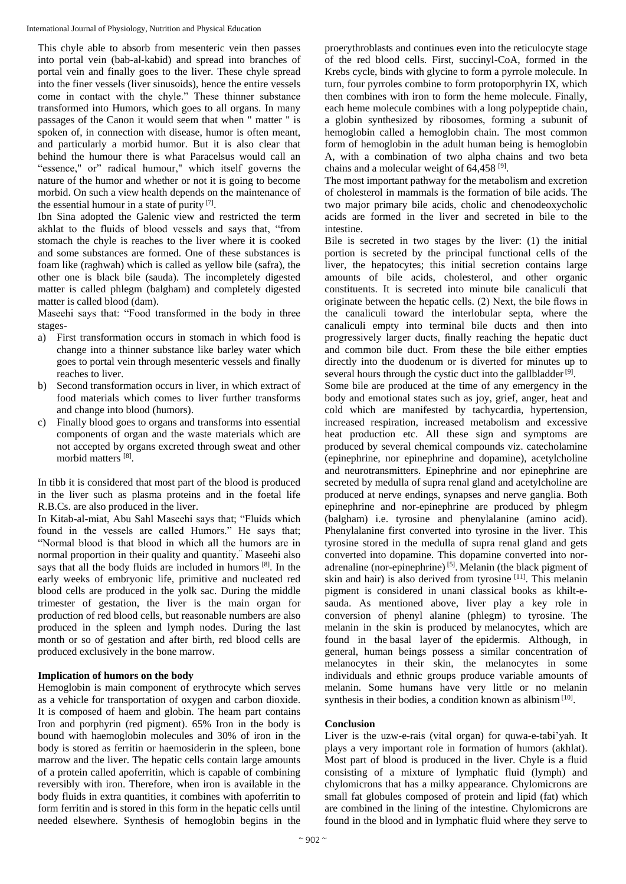International Journal of Physiology, Nutrition and Physical Education

This chyle able to absorb from mesenteric vein then passes into portal vein (bab-al-kabid) and spread into branches of portal vein and finally goes to the liver. These chyle spread into the finer vessels (liver sinusoids), hence the entire vessels come in contact with the chyle." These thinner substance transformed into Humors, which goes to all organs. In many passages of the Canon it would seem that when " matter " is spoken of, in connection with disease, humor is often meant, and particularly a morbid humor. But it is also clear that behind the humour there is what Paracelsus would call an "essence," or" radical humour," which itself governs the nature of the humor and whether or not it is going to become morbid. On such a view health depends on the maintenance of the essential humour in a state of purity [7].

Ibn Sina adopted the Galenic view and restricted the term akhlat to the fluids of blood vessels and says that, "from stomach the chyle is reaches to the liver where it is cooked and some substances are formed. One of these substances is foam like (raghwah) which is called as yellow bile (safra), the other one is black bile (sauda). The incompletely digested matter is called phlegm (balgham) and completely digested matter is called blood (dam).

Maseehi says that: "Food transformed in the body in three stages-

- a) First transformation occurs in stomach in which food is change into a thinner substance like barley water which goes to portal vein through mesenteric vessels and finally reaches to liver.
- b) Second transformation occurs in liver, in which extract of food materials which comes to liver further transforms and change into blood (humors).
- c) Finally blood goes to organs and transforms into essential components of organ and the waste materials which are not accepted by organs excreted through sweat and other morbid matters [8].

In tibb it is considered that most part of the blood is produced in the liver such as plasma proteins and in the foetal life R.B.Cs. are also produced in the liver.

In Kitab-al-miat, Abu Sahl Maseehi says that; "Fluids which found in the vessels are called Humors." He says that; "Normal blood is that blood in which all the humors are in normal proportion in their quality and quantity." Maseehi also says that all the body fluids are included in humors [8]. In the early weeks of embryonic life, primitive and nucleated red blood cells are produced in the yolk sac. During the middle trimester of gestation, the liver is the main organ for production of red blood cells, but reasonable numbers are also produced in the spleen and lymph nodes. During the last month or so of gestation and after birth, red blood cells are produced exclusively in the bone marrow.

# **Implication of humors on the body**

Hemoglobin is main component of erythrocyte which serves as a vehicle for transportation of oxygen and carbon dioxide. It is composed of haem and globin. The heam part contains Iron and porphyrin (red pigment). 65% Iron in the body is bound with haemoglobin molecules and 30% of iron in the body is stored as ferritin or haemosiderin in the spleen, bone marrow and the liver. The hepatic cells contain large amounts of a protein called apoferritin, which is capable of combining reversibly with iron. Therefore, when iron is available in the body fluids in extra quantities, it combines with apoferritin to form ferritin and is stored in this form in the hepatic cells until needed elsewhere. Synthesis of hemoglobin begins in the

proerythroblasts and continues even into the reticulocyte stage of the red blood cells. First, succinyl-CoA, formed in the Krebs cycle, binds with glycine to form a pyrrole molecule. In turn, four pyrroles combine to form protoporphyrin IX, which then combines with iron to form the heme molecule. Finally, each heme molecule combines with a long polypeptide chain, a globin synthesized by ribosomes, forming a subunit of hemoglobin called a hemoglobin chain. The most common form of hemoglobin in the adult human being is hemoglobin A, with a combination of two alpha chains and two beta chains and a molecular weight of 64,458<sup>[9]</sup>.

The most important pathway for the metabolism and excretion of cholesterol in mammals is the formation of bile acids. The two major primary bile acids, cholic and chenodeoxycholic acids are formed in the liver and secreted in bile to the intestine.

Bile is secreted in two stages by the liver: (1) the initial portion is secreted by the principal functional cells of the liver, the hepatocytes; this initial secretion contains large amounts of bile acids, cholesterol, and other organic constituents. It is secreted into minute bile canaliculi that originate between the hepatic cells. (2) Next, the bile flows in the canaliculi toward the interlobular septa, where the canaliculi empty into terminal bile ducts and then into progressively larger ducts, finally reaching the hepatic duct and common bile duct. From these the bile either empties directly into the duodenum or is diverted for minutes up to several hours through the cystic duct into the gallbladder<sup>[9]</sup>.

Some bile are produced at the time of any emergency in the body and emotional states such as joy, grief, anger, heat and cold which are manifested by tachycardia, hypertension, increased respiration, increased metabolism and excessive heat production etc. All these sign and symptoms are produced by several chemical compounds viz. catecholamine (epinephrine, nor epinephrine and dopamine), acetylcholine and neurotransmitters. Epinephrine and nor epinephrine are secreted by medulla of supra renal gland and acetylcholine are produced at nerve endings, synapses and nerve ganglia. Both epinephrine and nor-epinephrine are produced by phlegm (balgham) i.e. tyrosine and phenylalanine (amino acid). Phenylalanine first converted into tyrosine in the liver. This tyrosine stored in the medulla of supra renal gland and gets converted into dopamine. This dopamine converted into noradrenaline (nor-epinephrine)<sup>[5]</sup>. Melanin (the black pigment of skin and hair) is also derived from tyrosine [11]. This melanin pigment is considered in unani classical books as khilt-esauda. As mentioned above, liver play a key role in conversion of phenyl alanine (phlegm) to tyrosine. The melanin in the skin is produced by melanocytes, which are found in the basal layer of the epidermis. Although, in general, human beings possess a similar concentration of melanocytes in their skin, the melanocytes in some individuals and ethnic groups produce variable amounts of melanin. Some humans have very little or no melanin synthesis in their bodies, a condition known as albinism<sup>[10]</sup>.

# **Conclusion**

Liver is the uzw-e-rais (vital organ) for quwa-e-tabi'yah. It plays a very important role in formation of humors (akhlat). Most part of blood is produced in the liver. Chyle is a fluid consisting of a mixture of lymphatic fluid (lymph) and chylomicrons that has a milky appearance. Chylomicrons are small fat globules composed of protein and lipid (fat) which are combined in the lining of the intestine. Chylomicrons are found in the blood and in lymphatic fluid where they serve to